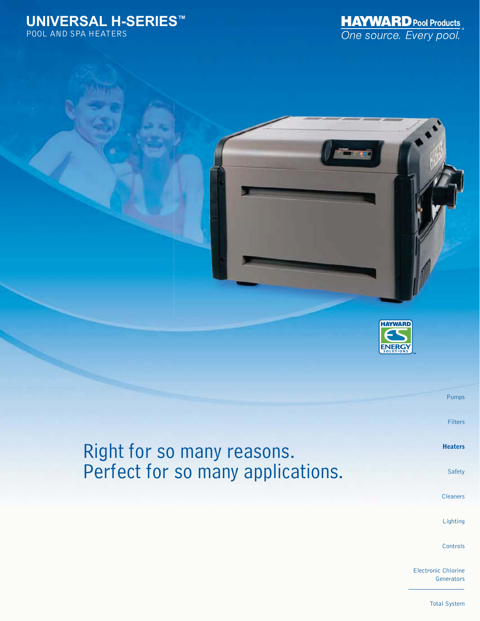## **UNIVERSAL H-SERIES™** POOL AND SPA HEATERS





Right for so many reasons. Perfect for so many applications.

Cleaners

Safety

Pumps

Filters

**Heaters**

Lighting

**Controls** 

Electronic Chlorine **Generators** 

Total System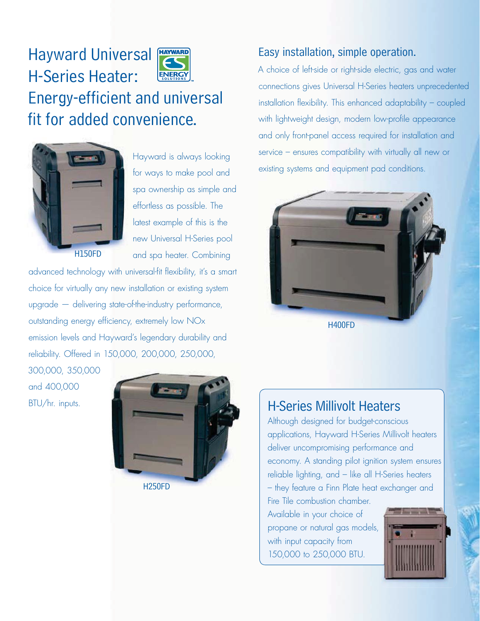



H150FD

Hayward is always looking for ways to make pool and spa ownership as simple and effortless as possible. The latest example of this is the new Universal H-Series pool and spa heater. Combining

advanced technology with universal-fit flexibility, it's a smart choice for virtually any new installation or existing system upgrade — delivering state-of-the-industry performance, outstanding energy efficiency, extremely low NOx emission levels and Hayward's legendary durability and reliability. Offered in 150,000, 200,000, 250,000,

300,000, 350,000 and 400,000 BTU/hr. inputs.



# Easy installation, simple operation.

A choice of left-side or right-side electric, gas and water connections gives Universal H-Series heaters unprecedented installation flexibility. This enhanced adaptability – coupled with lightweight design, modern low-profile appearance and only front-panel access required for installation and service – ensures compatibility with virtually all new or existing systems and equipment pad conditions.



# H-Series Millivolt Heaters

Although designed for budget-conscious applications, Hayward H-Series Millivolt heaters deliver uncompromising performance and economy. A standing pilot ignition system ensures reliable lighting, and – like all H-Series heaters – they feature a Finn Plate heat exchanger and Fire Tile combustion chamber.

Available in your choice of propane or natural gas models, with input capacity from 150,000 to 250,000 BTU.

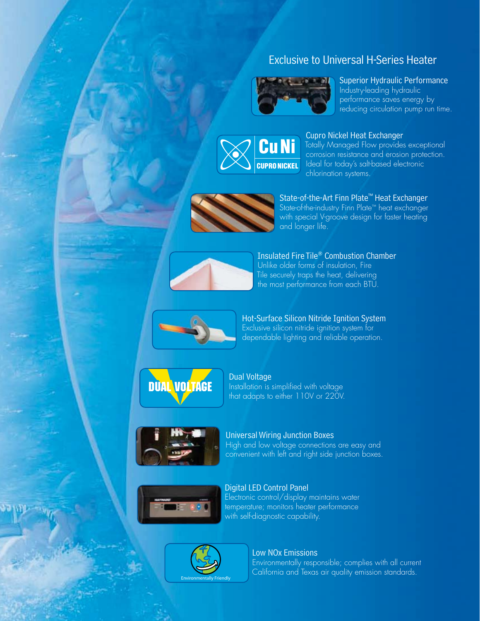# Exclusive to Universal H-Series Heater



## Superior Hydraulic Performance Industry-leading hydraulic

performance saves energy by reducing circulation pump run time.



## Cupro Nickel Heat Exchanger

Totally Managed Flow provides exceptional corrosion resistance and erosion protection. Ideal for today's salt-based electronic chlorination systems.



State-of-the-Art Finn Plate™ Heat Exchanger State-of-the-industry Finn Plate™ heat exchanger with special V-groove design for faster heating and longer life.



Insulated Fire Tile® Combustion Chamber Unlike older forms of insulation, Fire Tile securely traps the heat, delivering the most performance from each BTU.



Hot-Surface Silicon Nitride Ignition System Exclusive silicon nitride ignition system for dependable lighting and reliable operation.



Dual Voltage Installation is simplified with voltage that adapts to either 110V or 220V.



Universal Wiring Junction Boxes High and low voltage connections are easy and convenient with left and right side junction boxes.



Digital LED Control Panel Electronic control/display maintains water

temperature; monitors heater performance with self-diagnostic capability.



## Low NOx Emissions

Environmentally responsible; complies with all current California and Texas air quality emission standards.